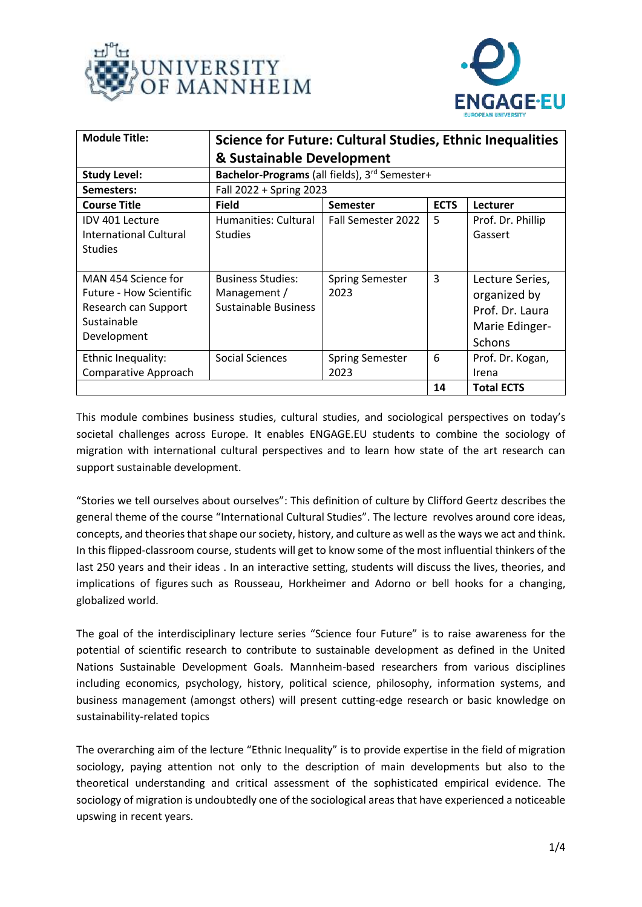



| <b>Module Title:</b>                                                                                        | Science for Future: Cultural Studies, Ethnic Inequalities        |                                |             |                                                                                       |
|-------------------------------------------------------------------------------------------------------------|------------------------------------------------------------------|--------------------------------|-------------|---------------------------------------------------------------------------------------|
|                                                                                                             | & Sustainable Development                                        |                                |             |                                                                                       |
| <b>Study Level:</b>                                                                                         | Bachelor-Programs (all fields), 3rd Semester+                    |                                |             |                                                                                       |
| Semesters:                                                                                                  | Fall 2022 + Spring 2023                                          |                                |             |                                                                                       |
| <b>Course Title</b>                                                                                         | <b>Field</b>                                                     | <b>Semester</b>                | <b>ECTS</b> | Lecturer                                                                              |
| IDV 401 Lecture<br><b>International Cultural</b><br><b>Studies</b>                                          | Humanities: Cultural<br><b>Studies</b>                           | Fall Semester 2022             | 5           | Prof. Dr. Phillip<br>Gassert                                                          |
| MAN 454 Science for<br><b>Future - How Scientific</b><br>Research can Support<br>Sustainable<br>Development | <b>Business Studies:</b><br>Management /<br>Sustainable Business | <b>Spring Semester</b><br>2023 | 3           | Lecture Series,<br>organized by<br>Prof. Dr. Laura<br>Marie Edinger-<br><b>Schons</b> |
| Ethnic Inequality:<br>Comparative Approach                                                                  | Social Sciences                                                  | <b>Spring Semester</b><br>2023 | 6           | Prof. Dr. Kogan,<br>Irena                                                             |
|                                                                                                             |                                                                  |                                | 14          | <b>Total ECTS</b>                                                                     |

This module combines business studies, cultural studies, and sociological perspectives on today's societal challenges across Europe. It enables ENGAGE.EU students to combine the sociology of migration with international cultural perspectives and to learn how state of the art research can support sustainable development.

"Stories we tell ourselves about ourselves": This definition of culture by Clifford Geertz describes the general theme of the course "International Cultural Studies". The lecture revolves around core ideas, concepts, and theories that shape our society, history, and culture as well as the ways we act and think. In this flipped-classroom course, students will get to know some of the most influential thinkers of the last 250 years and their ideas . In an interactive setting, students will discuss the lives, theories, and implications of figures such as Rousseau, Horkheimer and Adorno or bell hooks for a changing, globalized world.

The goal of the interdisciplinary lecture series "Science four Future" is to raise awareness for the potential of scientific research to contribute to sustainable development as defined in the United Nations Sustainable Development Goals. Mannheim-based researchers from various disciplines including economics, psychology, history, political science, philosophy, information systems, and business management (amongst others) will present cutting-edge research or basic knowledge on sustainability-related topics

The overarching aim of the lecture "Ethnic Inequality" is to provide expertise in the field of migration sociology, paying attention not only to the description of main developments but also to the theoretical understanding and critical assessment of the sophisticated empirical evidence. The sociology of migration is undoubtedly one of the sociological areas that have experienced a noticeable upswing in recent years.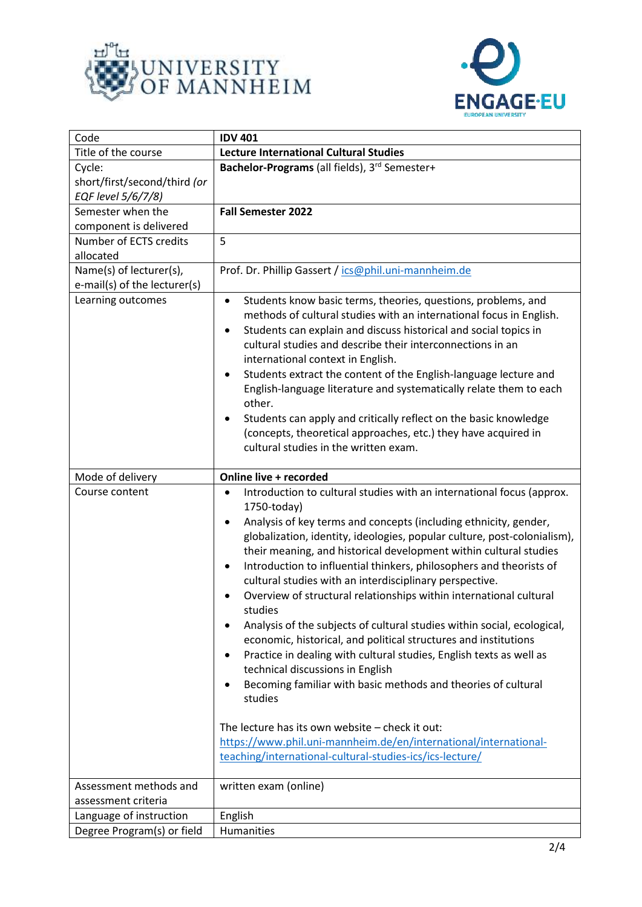



| Code                         | <b>IDV 401</b>                                                                                                                                                                                                                                                                                                                                                                                                                                                                                                                                                                                                                                                                                                                                                                                                                                                                                                                                                                                                                                                                                        |  |
|------------------------------|-------------------------------------------------------------------------------------------------------------------------------------------------------------------------------------------------------------------------------------------------------------------------------------------------------------------------------------------------------------------------------------------------------------------------------------------------------------------------------------------------------------------------------------------------------------------------------------------------------------------------------------------------------------------------------------------------------------------------------------------------------------------------------------------------------------------------------------------------------------------------------------------------------------------------------------------------------------------------------------------------------------------------------------------------------------------------------------------------------|--|
| Title of the course          | <b>Lecture International Cultural Studies</b>                                                                                                                                                                                                                                                                                                                                                                                                                                                                                                                                                                                                                                                                                                                                                                                                                                                                                                                                                                                                                                                         |  |
| Cycle:                       | Bachelor-Programs (all fields), 3rd Semester+                                                                                                                                                                                                                                                                                                                                                                                                                                                                                                                                                                                                                                                                                                                                                                                                                                                                                                                                                                                                                                                         |  |
| short/first/second/third (or |                                                                                                                                                                                                                                                                                                                                                                                                                                                                                                                                                                                                                                                                                                                                                                                                                                                                                                                                                                                                                                                                                                       |  |
| EQF level 5/6/7/8)           |                                                                                                                                                                                                                                                                                                                                                                                                                                                                                                                                                                                                                                                                                                                                                                                                                                                                                                                                                                                                                                                                                                       |  |
| Semester when the            | <b>Fall Semester 2022</b>                                                                                                                                                                                                                                                                                                                                                                                                                                                                                                                                                                                                                                                                                                                                                                                                                                                                                                                                                                                                                                                                             |  |
| component is delivered       |                                                                                                                                                                                                                                                                                                                                                                                                                                                                                                                                                                                                                                                                                                                                                                                                                                                                                                                                                                                                                                                                                                       |  |
| Number of ECTS credits       | 5                                                                                                                                                                                                                                                                                                                                                                                                                                                                                                                                                                                                                                                                                                                                                                                                                                                                                                                                                                                                                                                                                                     |  |
| allocated                    |                                                                                                                                                                                                                                                                                                                                                                                                                                                                                                                                                                                                                                                                                                                                                                                                                                                                                                                                                                                                                                                                                                       |  |
| Name(s) of lecturer(s),      | Prof. Dr. Phillip Gassert / ics@phil.uni-mannheim.de                                                                                                                                                                                                                                                                                                                                                                                                                                                                                                                                                                                                                                                                                                                                                                                                                                                                                                                                                                                                                                                  |  |
| e-mail(s) of the lecturer(s) |                                                                                                                                                                                                                                                                                                                                                                                                                                                                                                                                                                                                                                                                                                                                                                                                                                                                                                                                                                                                                                                                                                       |  |
| Learning outcomes            | Students know basic terms, theories, questions, problems, and<br>٠<br>methods of cultural studies with an international focus in English.<br>Students can explain and discuss historical and social topics in<br>٠<br>cultural studies and describe their interconnections in an<br>international context in English.<br>Students extract the content of the English-language lecture and<br>$\bullet$<br>English-language literature and systematically relate them to each<br>other.<br>Students can apply and critically reflect on the basic knowledge<br>(concepts, theoretical approaches, etc.) they have acquired in<br>cultural studies in the written exam.                                                                                                                                                                                                                                                                                                                                                                                                                                 |  |
| Mode of delivery             | Online live + recorded                                                                                                                                                                                                                                                                                                                                                                                                                                                                                                                                                                                                                                                                                                                                                                                                                                                                                                                                                                                                                                                                                |  |
| Course content               | Introduction to cultural studies with an international focus (approx.<br>$\bullet$<br>1750-today)<br>Analysis of key terms and concepts (including ethnicity, gender,<br>$\bullet$<br>globalization, identity, ideologies, popular culture, post-colonialism),<br>their meaning, and historical development within cultural studies<br>Introduction to influential thinkers, philosophers and theorists of<br>٠<br>cultural studies with an interdisciplinary perspective.<br>Overview of structural relationships within international cultural<br>studies<br>Analysis of the subjects of cultural studies within social, ecological,<br>economic, historical, and political structures and institutions<br>Practice in dealing with cultural studies, English texts as well as<br>٠<br>technical discussions in English<br>Becoming familiar with basic methods and theories of cultural<br>$\bullet$<br>studies<br>The lecture has its own website - check it out:<br>https://www.phil.uni-mannheim.de/en/international/international-<br>teaching/international-cultural-studies-ics/ics-lecture/ |  |
| Assessment methods and       | written exam (online)                                                                                                                                                                                                                                                                                                                                                                                                                                                                                                                                                                                                                                                                                                                                                                                                                                                                                                                                                                                                                                                                                 |  |
| assessment criteria          |                                                                                                                                                                                                                                                                                                                                                                                                                                                                                                                                                                                                                                                                                                                                                                                                                                                                                                                                                                                                                                                                                                       |  |
| Language of instruction      | English                                                                                                                                                                                                                                                                                                                                                                                                                                                                                                                                                                                                                                                                                                                                                                                                                                                                                                                                                                                                                                                                                               |  |
| Degree Program(s) or field   | Humanities                                                                                                                                                                                                                                                                                                                                                                                                                                                                                                                                                                                                                                                                                                                                                                                                                                                                                                                                                                                                                                                                                            |  |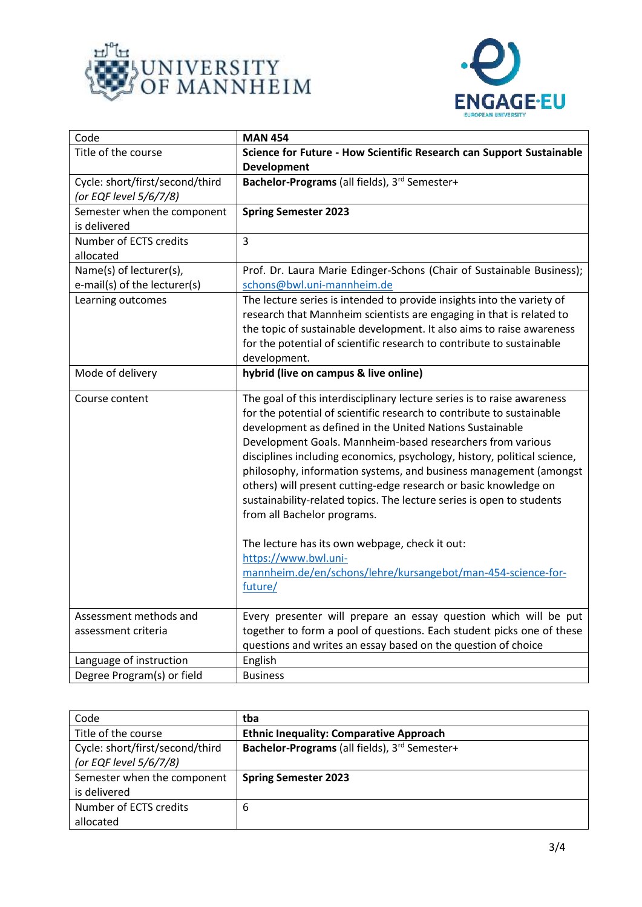



| Code                                                      | <b>MAN 454</b>                                                                                                                                                                                                                                                                                                                                                                                                                                                                                                                                                                                                                                                                                                                                               |
|-----------------------------------------------------------|--------------------------------------------------------------------------------------------------------------------------------------------------------------------------------------------------------------------------------------------------------------------------------------------------------------------------------------------------------------------------------------------------------------------------------------------------------------------------------------------------------------------------------------------------------------------------------------------------------------------------------------------------------------------------------------------------------------------------------------------------------------|
| Title of the course                                       | Science for Future - How Scientific Research can Support Sustainable<br><b>Development</b>                                                                                                                                                                                                                                                                                                                                                                                                                                                                                                                                                                                                                                                                   |
| Cycle: short/first/second/third<br>(or EQF level 5/6/7/8) | Bachelor-Programs (all fields), 3rd Semester+                                                                                                                                                                                                                                                                                                                                                                                                                                                                                                                                                                                                                                                                                                                |
| Semester when the component<br>is delivered               | <b>Spring Semester 2023</b>                                                                                                                                                                                                                                                                                                                                                                                                                                                                                                                                                                                                                                                                                                                                  |
| Number of ECTS credits<br>allocated                       | $\overline{3}$                                                                                                                                                                                                                                                                                                                                                                                                                                                                                                                                                                                                                                                                                                                                               |
| Name(s) of lecturer(s),<br>e-mail(s) of the lecturer(s)   | Prof. Dr. Laura Marie Edinger-Schons (Chair of Sustainable Business);<br>schons@bwl.uni-mannheim.de                                                                                                                                                                                                                                                                                                                                                                                                                                                                                                                                                                                                                                                          |
| Learning outcomes                                         | The lecture series is intended to provide insights into the variety of<br>research that Mannheim scientists are engaging in that is related to<br>the topic of sustainable development. It also aims to raise awareness<br>for the potential of scientific research to contribute to sustainable<br>development.                                                                                                                                                                                                                                                                                                                                                                                                                                             |
| Mode of delivery                                          | hybrid (live on campus & live online)                                                                                                                                                                                                                                                                                                                                                                                                                                                                                                                                                                                                                                                                                                                        |
| Course content                                            | The goal of this interdisciplinary lecture series is to raise awareness<br>for the potential of scientific research to contribute to sustainable<br>development as defined in the United Nations Sustainable<br>Development Goals. Mannheim-based researchers from various<br>disciplines including economics, psychology, history, political science,<br>philosophy, information systems, and business management (amongst<br>others) will present cutting-edge research or basic knowledge on<br>sustainability-related topics. The lecture series is open to students<br>from all Bachelor programs.<br>The lecture has its own webpage, check it out:<br>https://www.bwl.uni-<br>mannheim.de/en/schons/lehre/kursangebot/man-454-science-for-<br>future/ |
| Assessment methods and<br>assessment criteria             | Every presenter will prepare an essay question which will be put<br>together to form a pool of questions. Each student picks one of these                                                                                                                                                                                                                                                                                                                                                                                                                                                                                                                                                                                                                    |
| Language of instruction                                   | questions and writes an essay based on the question of choice                                                                                                                                                                                                                                                                                                                                                                                                                                                                                                                                                                                                                                                                                                |
| Degree Program(s) or field                                | English<br><b>Business</b>                                                                                                                                                                                                                                                                                                                                                                                                                                                                                                                                                                                                                                                                                                                                   |

| Code                                                      | tba                                            |
|-----------------------------------------------------------|------------------------------------------------|
| Title of the course                                       | <b>Ethnic Inequality: Comparative Approach</b> |
| Cycle: short/first/second/third<br>(or EQF level 5/6/7/8) | Bachelor-Programs (all fields), 3rd Semester+  |
| Semester when the component                               | <b>Spring Semester 2023</b>                    |
| is delivered                                              |                                                |
| Number of ECTS credits                                    | 6                                              |
| allocated                                                 |                                                |